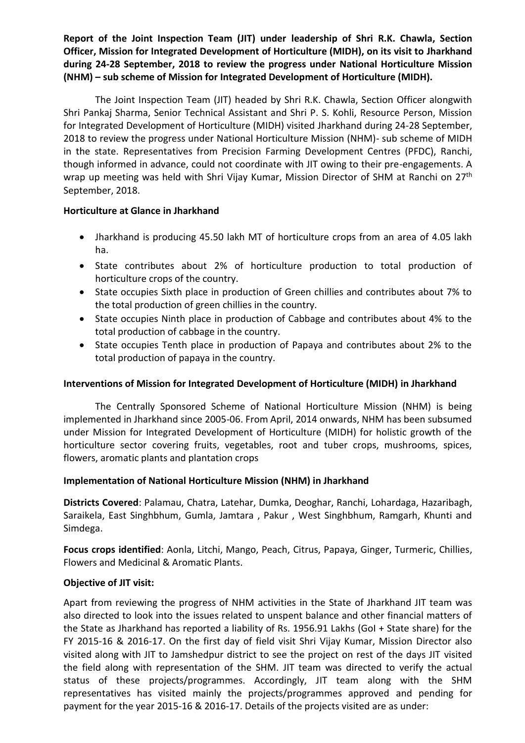**Report of the Joint Inspection Team (JIT) under leadership of Shri R.K. Chawla, Section Officer, Mission for Integrated Development of Horticulture (MIDH), on its visit to Jharkhand during 24-28 September, 2018 to review the progress under National Horticulture Mission (NHM) – sub scheme of Mission for Integrated Development of Horticulture (MIDH).** 

The Joint Inspection Team (JIT) headed by Shri R.K. Chawla, Section Officer alongwith Shri Pankaj Sharma, Senior Technical Assistant and Shri P. S. Kohli, Resource Person, Mission for Integrated Development of Horticulture (MIDH) visited Jharkhand during 24-28 September, 2018 to review the progress under National Horticulture Mission (NHM)- sub scheme of MIDH in the state. Representatives from Precision Farming Development Centres (PFDC), Ranchi, though informed in advance, could not coordinate with JIT owing to their pre-engagements. A wrap up meeting was held with Shri Vijay Kumar, Mission Director of SHM at Ranchi on 27<sup>th</sup> September, 2018.

## **Horticulture at Glance in Jharkhand**

- Jharkhand is producing 45.50 lakh MT of horticulture crops from an area of 4.05 lakh ha.
- State contributes about 2% of horticulture production to total production of horticulture crops of the country.
- State occupies Sixth place in production of Green chillies and contributes about 7% to the total production of green chillies in the country.
- State occupies Ninth place in production of Cabbage and contributes about 4% to the total production of cabbage in the country.
- State occupies Tenth place in production of Papaya and contributes about 2% to the total production of papaya in the country.

# **Interventions of Mission for Integrated Development of Horticulture (MIDH) in Jharkhand**

The Centrally Sponsored Scheme of National Horticulture Mission (NHM) is being implemented in Jharkhand since 2005-06. From April, 2014 onwards, NHM has been subsumed under Mission for Integrated Development of Horticulture (MIDH) for holistic growth of the horticulture sector covering fruits, vegetables, root and tuber crops, mushrooms, spices, flowers, aromatic plants and plantation crops

# **Implementation of National Horticulture Mission (NHM) in Jharkhand**

**Districts Covered**: Palamau, Chatra, Latehar, Dumka, Deoghar, Ranchi, Lohardaga, Hazaribagh, Saraikela, East Singhbhum, Gumla, Jamtara , Pakur , West Singhbhum, Ramgarh, Khunti and Simdega.

**Focus crops identified**: Aonla, Litchi, Mango, Peach, Citrus, Papaya, Ginger, Turmeric, Chillies, Flowers and Medicinal & Aromatic Plants.

# **Objective of JIT visit:**

Apart from reviewing the progress of NHM activities in the State of Jharkhand JIT team was also directed to look into the issues related to unspent balance and other financial matters of the State as Jharkhand has reported a liability of Rs. 1956.91 Lakhs (GoI + State share) for the FY 2015-16 & 2016-17. On the first day of field visit Shri Vijay Kumar, Mission Director also visited along with JIT to Jamshedpur district to see the project on rest of the days JIT visited the field along with representation of the SHM. JIT team was directed to verify the actual status of these projects/programmes. Accordingly, JIT team along with the SHM representatives has visited mainly the projects/programmes approved and pending for payment for the year 2015-16 & 2016-17. Details of the projects visited are as under: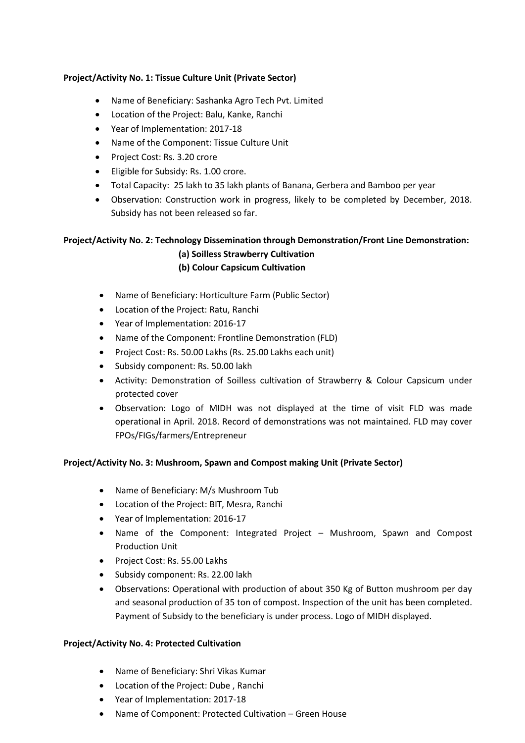## **Project/Activity No. 1: Tissue Culture Unit (Private Sector)**

- Name of Beneficiary: Sashanka Agro Tech Pvt. Limited
- Location of the Project: Balu, Kanke, Ranchi
- Year of Implementation: 2017-18
- Name of the Component: Tissue Culture Unit
- Project Cost: Rs. 3.20 crore
- **Eligible for Subsidy: Rs. 1.00 crore.**
- Total Capacity: 25 lakh to 35 lakh plants of Banana, Gerbera and Bamboo per year
- Observation: Construction work in progress, likely to be completed by December, 2018. Subsidy has not been released so far.

# **Project/Activity No. 2: Technology Dissemination through Demonstration/Front Line Demonstration: (a) Soilless Strawberry Cultivation**

## **(b) Colour Capsicum Cultivation**

- Name of Beneficiary: Horticulture Farm (Public Sector)
- Location of the Project: Ratu, Ranchi
- Year of Implementation: 2016-17
- Name of the Component: Frontline Demonstration (FLD)
- Project Cost: Rs. 50.00 Lakhs (Rs. 25.00 Lakhs each unit)
- Subsidy component: Rs. 50.00 lakh
- Activity: Demonstration of Soilless cultivation of Strawberry & Colour Capsicum under protected cover
- Observation: Logo of MIDH was not displayed at the time of visit FLD was made operational in April. 2018. Record of demonstrations was not maintained. FLD may cover FPOs/FIGs/farmers/Entrepreneur

## **Project/Activity No. 3: Mushroom, Spawn and Compost making Unit (Private Sector)**

- Name of Beneficiary: M/s Mushroom Tub
- Location of the Project: BIT, Mesra, Ranchi
- Year of Implementation: 2016-17
- Name of the Component: Integrated Project Mushroom, Spawn and Compost Production Unit
- Project Cost: Rs. 55.00 Lakhs
- Subsidy component: Rs. 22.00 lakh
- Observations: Operational with production of about 350 Kg of Button mushroom per day and seasonal production of 35 ton of compost. Inspection of the unit has been completed. Payment of Subsidy to the beneficiary is under process. Logo of MIDH displayed.

#### **Project/Activity No. 4: Protected Cultivation**

- Name of Beneficiary: Shri Vikas Kumar
- Location of the Project: Dube , Ranchi
- Year of Implementation: 2017-18
- Name of Component: Protected Cultivation Green House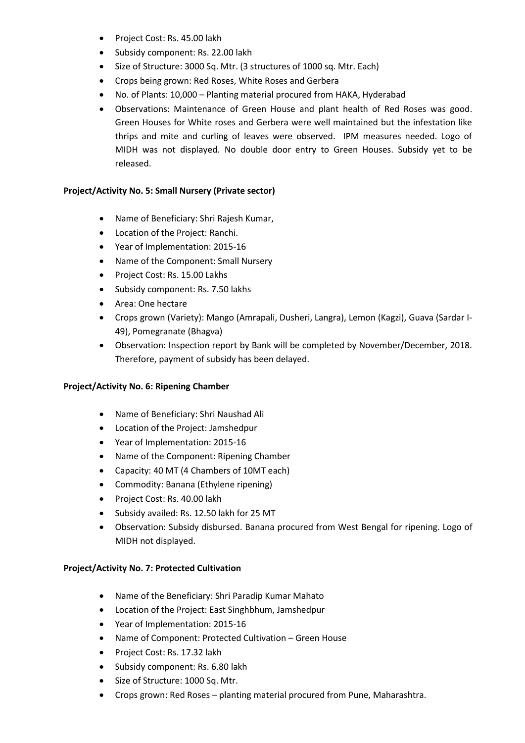- Project Cost: Rs. 45.00 lakh
- Subsidy component: Rs. 22.00 lakh
- Size of Structure: 3000 Sq. Mtr. (3 structures of 1000 sq. Mtr. Each)
- Crops being grown: Red Roses, White Roses and Gerbera
- No. of Plants: 10,000 Planting material procured from HAKA, Hyderabad
- Observations: Maintenance of Green House and plant health of Red Roses was good. Green Houses for White roses and Gerbera were well maintained but the infestation like thrips and mite and curling of leaves were observed. IPM measures needed. Logo of MIDH was not displayed. No double door entry to Green Houses. Subsidy yet to be released.

### **Project/Activity No. 5: Small Nursery (Private sector)**

- Name of Beneficiary: Shri Rajesh Kumar,
- Location of the Project: Ranchi.
- Year of Implementation: 2015-16
- Name of the Component: Small Nursery
- Project Cost: Rs. 15.00 Lakhs
- Subsidy component: Rs. 7.50 lakhs
- Area: One hectare
- Crops grown (Variety): Mango (Amrapali, Dusheri, Langra), Lemon (Kagzi), Guava (Sardar I-49), Pomegranate (Bhagva)
- Observation: Inspection report by Bank will be completed by November/December, 2018. Therefore, payment of subsidy has been delayed.

## **Project/Activity No. 6: Ripening Chamber**

- Name of Beneficiary: Shri Naushad Ali
- Location of the Project: Jamshedpur
- Year of Implementation: 2015-16
- Name of the Component: Ripening Chamber
- Capacity: 40 MT (4 Chambers of 10MT each)
- Commodity: Banana (Ethylene ripening)
- Project Cost: Rs. 40.00 lakh
- Subsidy availed: Rs. 12.50 lakh for 25 MT
- Observation: Subsidy disbursed. Banana procured from West Bengal for ripening. Logo of MIDH not displayed.

## **Project/Activity No. 7: Protected Cultivation**

- Name of the Beneficiary: Shri Paradip Kumar Mahato
- Location of the Project: East Singhbhum, Jamshedpur
- Year of Implementation: 2015-16
- Name of Component: Protected Cultivation Green House
- Project Cost: Rs. 17.32 lakh
- Subsidy component: Rs. 6.80 lakh
- Size of Structure: 1000 Sq. Mtr.
- Crops grown: Red Roses planting material procured from Pune, Maharashtra.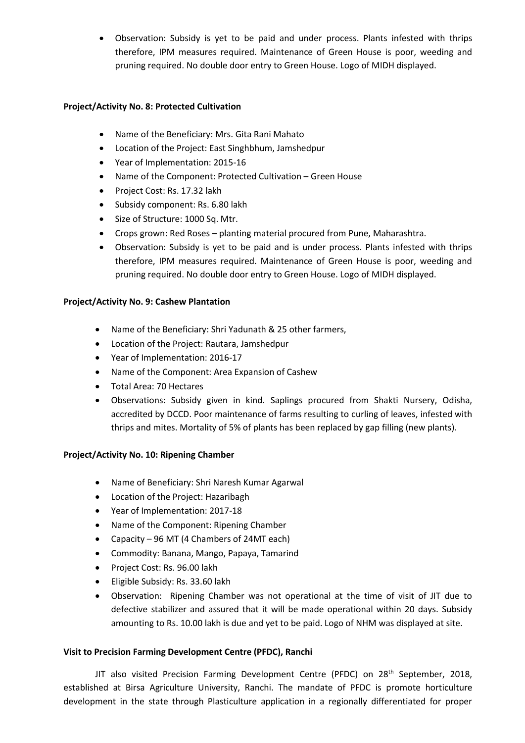Observation: Subsidy is yet to be paid and under process. Plants infested with thrips therefore, IPM measures required. Maintenance of Green House is poor, weeding and pruning required. No double door entry to Green House. Logo of MIDH displayed.

## **Project/Activity No. 8: Protected Cultivation**

- Name of the Beneficiary: Mrs. Gita Rani Mahato
- Location of the Project: East Singhbhum, Jamshedpur
- Year of Implementation: 2015-16
- Name of the Component: Protected Cultivation Green House
- Project Cost: Rs. 17.32 lakh
- Subsidy component: Rs. 6.80 lakh
- Size of Structure: 1000 Sq. Mtr.
- Crops grown: Red Roses planting material procured from Pune, Maharashtra.
- Observation: Subsidy is yet to be paid and is under process. Plants infested with thrips therefore, IPM measures required. Maintenance of Green House is poor, weeding and pruning required. No double door entry to Green House. Logo of MIDH displayed.

#### **Project/Activity No. 9: Cashew Plantation**

- Name of the Beneficiary: Shri Yadunath & 25 other farmers,
- Location of the Project: Rautara, Jamshedpur
- Year of Implementation: 2016-17
- Name of the Component: Area Expansion of Cashew
- Total Area: 70 Hectares
- Observations: Subsidy given in kind. Saplings procured from Shakti Nursery, Odisha, accredited by DCCD. Poor maintenance of farms resulting to curling of leaves, infested with thrips and mites. Mortality of 5% of plants has been replaced by gap filling (new plants).

#### **Project/Activity No. 10: Ripening Chamber**

- Name of Beneficiary: Shri Naresh Kumar Agarwal
- Location of the Project: Hazaribagh
- Year of Implementation: 2017-18
- Name of the Component: Ripening Chamber
- Capacity 96 MT (4 Chambers of 24MT each)
- Commodity: Banana, Mango, Papaya, Tamarind
- Project Cost: Rs. 96.00 lakh
- Eligible Subsidy: Rs. 33.60 lakh
- Observation: Ripening Chamber was not operational at the time of visit of JIT due to defective stabilizer and assured that it will be made operational within 20 days. Subsidy amounting to Rs. 10.00 lakh is due and yet to be paid. Logo of NHM was displayed at site.

## **Visit to Precision Farming Development Centre (PFDC), Ranchi**

JIT also visited Precision Farming Development Centre (PFDC) on  $28<sup>th</sup>$  September, 2018, established at Birsa Agriculture University, Ranchi. The mandate of PFDC is promote horticulture development in the state through Plasticulture application in a regionally differentiated for proper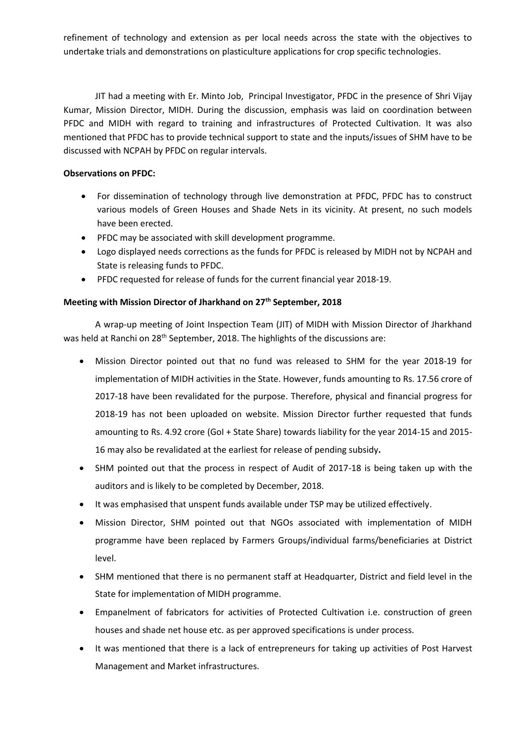refinement of technology and extension as per local needs across the state with the objectives to undertake trials and demonstrations on plasticulture applications for crop specific technologies.

JIT had a meeting with Er. Minto Job, Principal Investigator, PFDC in the presence of Shri Vijay Kumar, Mission Director, MIDH. During the discussion, emphasis was laid on coordination between PFDC and MIDH with regard to training and infrastructures of Protected Cultivation. It was also mentioned that PFDC has to provide technical support to state and the inputs/issues of SHM have to be discussed with NCPAH by PFDC on regular intervals.

#### **Observations on PFDC:**

- For dissemination of technology through live demonstration at PFDC, PFDC has to construct various models of Green Houses and Shade Nets in its vicinity. At present, no such models have been erected.
- PFDC may be associated with skill development programme.
- Logo displayed needs corrections as the funds for PFDC is released by MIDH not by NCPAH and State is releasing funds to PFDC.
- PFDC requested for release of funds for the current financial year 2018-19.

## **Meeting with Mission Director of Jharkhand on 27th September, 2018**

A wrap-up meeting of Joint Inspection Team (JIT) of MIDH with Mission Director of Jharkhand was held at Ranchi on 28<sup>th</sup> September, 2018. The highlights of the discussions are:

- Mission Director pointed out that no fund was released to SHM for the year 2018-19 for implementation of MIDH activities in the State. However, funds amounting to Rs. 17.56 crore of 2017-18 have been revalidated for the purpose. Therefore, physical and financial progress for 2018-19 has not been uploaded on website. Mission Director further requested that funds amounting to Rs. 4.92 crore (GoI + State Share) towards liability for the year 2014-15 and 2015- 16 may also be revalidated at the earliest for release of pending subsidy**.**
- SHM pointed out that the process in respect of Audit of 2017-18 is being taken up with the auditors and is likely to be completed by December, 2018.
- It was emphasised that unspent funds available under TSP may be utilized effectively.
- Mission Director, SHM pointed out that NGOs associated with implementation of MIDH programme have been replaced by Farmers Groups/individual farms/beneficiaries at District level.
- SHM mentioned that there is no permanent staff at Headquarter, District and field level in the State for implementation of MIDH programme.
- Empanelment of fabricators for activities of Protected Cultivation i.e. construction of green houses and shade net house etc. as per approved specifications is under process.
- It was mentioned that there is a lack of entrepreneurs for taking up activities of Post Harvest Management and Market infrastructures.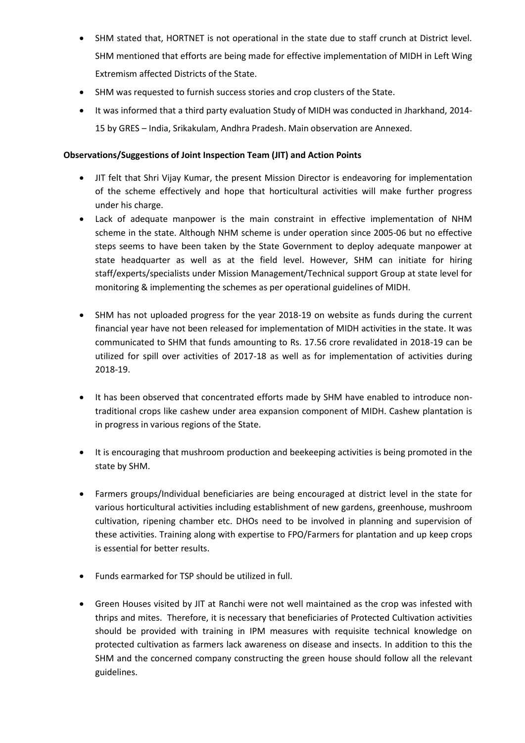- SHM stated that, HORTNET is not operational in the state due to staff crunch at District level. SHM mentioned that efforts are being made for effective implementation of MIDH in Left Wing Extremism affected Districts of the State.
- SHM was requested to furnish success stories and crop clusters of the State.
- It was informed that a third party evaluation Study of MIDH was conducted in Jharkhand, 2014- 15 by GRES – India, Srikakulam, Andhra Pradesh. Main observation are Annexed.

## **Observations/Suggestions of Joint Inspection Team (JIT) and Action Points**

- JIT felt that Shri Vijay Kumar, the present Mission Director is endeavoring for implementation of the scheme effectively and hope that horticultural activities will make further progress under his charge.
- Lack of adequate manpower is the main constraint in effective implementation of NHM scheme in the state. Although NHM scheme is under operation since 2005-06 but no effective steps seems to have been taken by the State Government to deploy adequate manpower at state headquarter as well as at the field level. However, SHM can initiate for hiring staff/experts/specialists under Mission Management/Technical support Group at state level for monitoring & implementing the schemes as per operational guidelines of MIDH.
- SHM has not uploaded progress for the year 2018-19 on website as funds during the current financial year have not been released for implementation of MIDH activities in the state. It was communicated to SHM that funds amounting to Rs. 17.56 crore revalidated in 2018-19 can be utilized for spill over activities of 2017-18 as well as for implementation of activities during 2018-19.
- It has been observed that concentrated efforts made by SHM have enabled to introduce nontraditional crops like cashew under area expansion component of MIDH. Cashew plantation is in progress in various regions of the State.
- It is encouraging that mushroom production and beekeeping activities is being promoted in the state by SHM.
- Farmers groups/Individual beneficiaries are being encouraged at district level in the state for various horticultural activities including establishment of new gardens, greenhouse, mushroom cultivation, ripening chamber etc. DHOs need to be involved in planning and supervision of these activities. Training along with expertise to FPO/Farmers for plantation and up keep crops is essential for better results.
- Funds earmarked for TSP should be utilized in full.
- Green Houses visited by JIT at Ranchi were not well maintained as the crop was infested with thrips and mites. Therefore, it is necessary that beneficiaries of Protected Cultivation activities should be provided with training in IPM measures with requisite technical knowledge on protected cultivation as farmers lack awareness on disease and insects. In addition to this the SHM and the concerned company constructing the green house should follow all the relevant guidelines.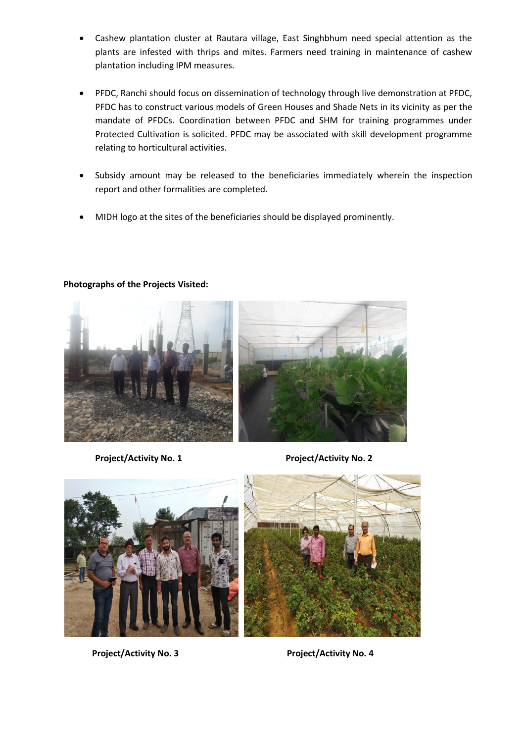- Cashew plantation cluster at Rautara village, East Singhbhum need special attention as the plants are infested with thrips and mites. Farmers need training in maintenance of cashew plantation including IPM measures.
- PFDC, Ranchi should focus on dissemination of technology through live demonstration at PFDC, PFDC has to construct various models of Green Houses and Shade Nets in its vicinity as per the mandate of PFDCs. Coordination between PFDC and SHM for training programmes under Protected Cultivation is solicited. PFDC may be associated with skill development programme relating to horticultural activities.
- Subsidy amount may be released to the beneficiaries immediately wherein the inspection report and other formalities are completed.
- MIDH logo at the sites of the beneficiaries should be displayed prominently.



#### **Photographs of the Projects Visited:**

**Project/Activity No. 1 Project/Activity No. 2**





Project/Activity No. 3 Project/Activity No. 4

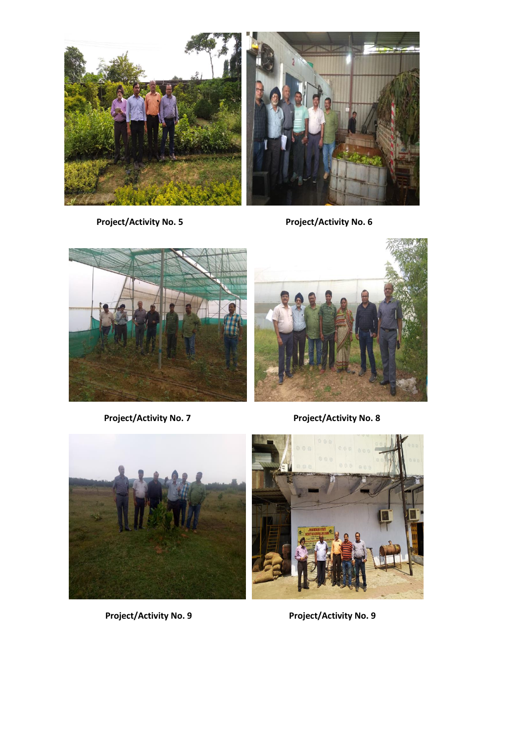

 **Project/Activity No. 5 Project/Activity No. 6**





Project/Activity No. 7 **Project/Activity No. 8** 





 **Project/Activity No. 9 Project/Activity No. 9**